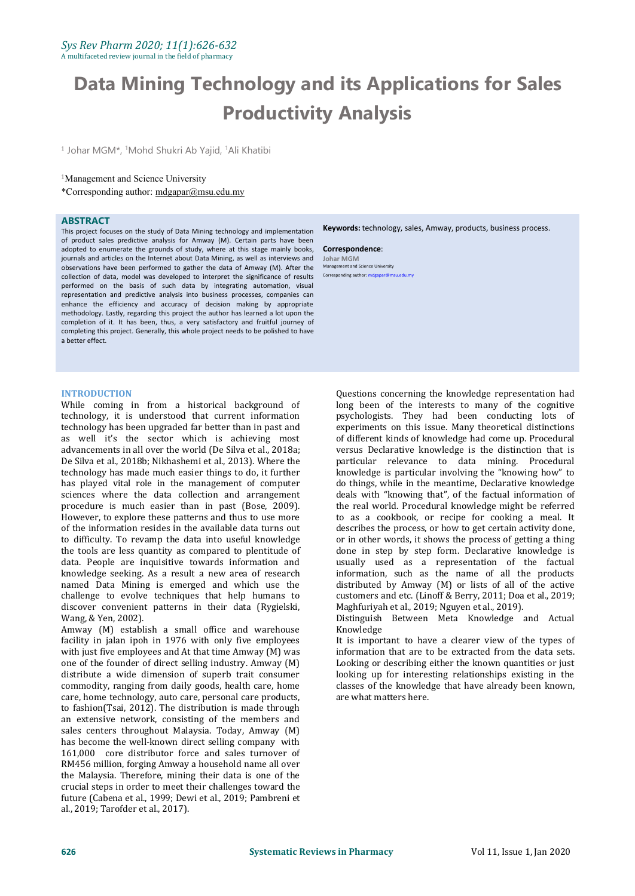# **Data Mining Technology and its Applications for Sales Productivity Analysis**

<sup>1</sup> Johar MGM\*, <sup>1</sup>Mohd Shukri Ab Yajid, <sup>1</sup>Ali Khatibi

# <sup>1</sup>Management and Science University

\*Corresponding author: [mdgapar@msu.edu.my](mailto:mdgapar@msu.edu.my)

# **ABSTRACT**

This project focuses on the study of Data Mining technology and implementation of product sales predictive analysis for Amway (M). Certain parts have been adopted to enumerate the grounds of study, where at this stage mainly books, journals and articles on the Internet about Data Mining, as well as interviews and observations have been performed to gather the data of Amway (M). After the collection of data, model was developed to interpret the significance of results performed on the basis of such data by integrating automation, visual representation and predictive analysis into business processes, companies can enhance the efficiency and accuracy of decision making by appropriate methodology. Lastly, regarding this project the author has learned alot upon the completion of it. It has been, thus, a very satisfactory and fruitful journey of completing this project. Generally, this whole project needs to be polished to have a better effect.

# **INTRODUCTION**

While coming in from a historical background of technology, it is understood that current information technology has been upgraded far better than in past and as well it's the sector which is achieving most advancements in all over the world (De Silva et al., 2018a; De Silva et al., 2018b; Nikhashemi et al., 2013). Where the technology has made much easier things to do, it further has played vital role in the management of computer sciences where the data collection and arrangement procedure is much easier than in past (Bose, 2009). However, to explore these patterns and thus to use more of the information resides in the available data turns out to difficulty. To revamp the data into useful knowledge the tools are less quantity as compared to plentitude of data. People are inquisitive towards information and knowledge seeking. As a result a new area of research named Data Mining is emerged and which use the challenge to evolve techniques that help humans to discover convenient patterns in their data (Rygielski, Wang, & Yen, 2002).

Amway (M) establish a small office and warehouse facility in jalan ipoh in 1976 with only five employees with just five employees and At that time Amway (M) was one of the founder of direct selling industry. Amway (M) distribute a wide dimension of superb trait consumer commodity, ranging from daily goods, health care, home care, home technology, auto care, personal care products, to fashion(Tsai, 2012). The distribution is made through an extensive network, consisting of the members and sales centers throughout Malaysia. Today, Amway (M) has become the well-known direct selling company with 161,000 core distributor force and sales turnover of RM456 million, forging Amway a household name all over the Malaysia. Therefore, mining their data is one of the crucial steps in order to meet their challenges toward the future (Cabena et al., 1999; Dewi et al., 2019; Pambreni et al., 2019; Tarofder et al., 2017).

**Keywords:** technology, sales, Amway, products, business process.

**Correspondence**: **Johar MGM** Management and Science University

Corresponding author: mdgapar@ms

Questions concerning the knowledge representation had long been of the interests to many of the cognitive psychologists. They had been conducting lots of experiments on this issue. Many theoretical distinctions of different kinds of knowledge had come up. Procedural versus Declarative knowledge is the distinction that is particular relevance to data mining. Procedural knowledge is particular involving the "knowing how" to do things, while in the meantime, Declarative knowledge deals with "knowing that", of the factual information of the real world. Procedural knowledge might be referred to as a cookbook, or recipe for cooking a meal. It describes the process, or how to get certain activity done, or in other words, it shows the process of getting a thing done in step by step form. Declarative knowledge is usually used as a representation of the factual information, such as the name of all the products distributed by Amway (M) or lists of all of the active customers and etc. (Linoff & Berry, 2011; Doa et al., 2019; Maghfuriyah et al., 2019; Nguyen et al., 2019).

Distinguish Between Meta Knowledge and Actual Knowledge

It is important to have a clearer view of the types of information that are to be extracted from the data sets. Looking or describing either the known quantities or just looking up for interesting relationships existing in the classes of the knowledge that have already been known, are what matters here.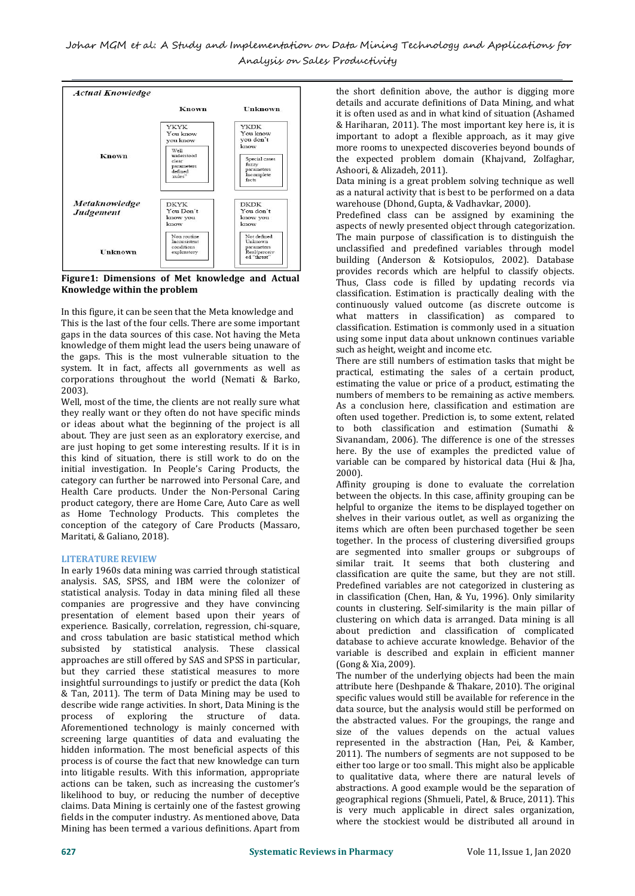

**Figure1: Dimensions of Met knowledge and Actual Knowledge within the problem**

In this figure, it can be seen that the Meta knowledge and This is the last of the four cells. There are some important gaps in the data sources of this case. Not having the Meta knowledge of them might lead the users being unaware of the gaps. This is the most vulnerable situation to the system. It in fact, affects all governments as well as corporations throughout the world (Nemati & Barko, 2003).

Well, most of the time, the clients are not really sure what they really want or they often do not have specific minds or ideas about what the beginning of the project is all about. They are just seen as an exploratory exercise, and are just hoping to get some interesting results. If it is in this kind of situation, there is still work to do on the initial investigation. In People's Caring Products, the category can further be narrowed into Personal Care, and Health Care products. Under the Non-Personal Caring between the objects. In this case, affinity grouping can be product category, there are Home Care, Auto Care as well as Home Technology Products. This completes the conception of the category of Care Products (Massaro, Maritati, & Galiano, 2018).

# **LITERATURE REVIEW**

In early 1960s data mining was carried through statistical analysis. SAS, SPSS, and IBM were the colonizer of statistical analysis. Today in data mining filed all these companies are progressive and they have convincing presentation of element based upon their years of experience. Basically, correlation, regression, chi-square, and cross tabulation are basic statistical method which subsisted by statistical analysis. These classical approaches are still offered by SAS and SPSS in particular, but they carried these statistical measures to more insightful surroundings to justify or predict the data (Koh & Tan, 2011). The term of Data Mining may be used to describe wide range activities. In short, Data Mining is the process of exploring the structure of data. of exploring the structure of Aforementioned technology is mainly concerned with screening large quantities of data and evaluating the hidden information. The most beneficial aspects of this process is of course the fact that new knowledge can turn into litigable results. With this information, appropriate actions can be taken, such as increasing the customer's likelihood to buy, or reducing the number of deceptive claims. Data Mining is certainly one of the fastest growing fields in the computer industry. As mentioned above, Data Mining has been termed a various definitions. Apart from

the short definition above, the author is digging more details and accurate definitions of Data Mining, and what it is often used as and in what kind of situation (Ashamed & Hariharan, 2011). The most important key here is, it is important to adopt a flexible approach, as it may give more rooms to unexpected discoveries beyond bounds of the expected problem domain (Khajvand, Zolfaghar, Ashoori, & Alizadeh, 2011).

Data mining is a great problem solving technique as well as a natural activity that is best to be performed on a data warehouse (Dhond, Gupta, & Vadhavkar, 2000).

Predefined class can be assigned by examining the aspects of newly presented object through categorization. The main purpose of classification is to distinguish the unclassified and predefined variables through model building (Anderson & Kotsiopulos, 2002). Database provides records which are helpful to classify objects. Thus, Class code is filled by updating records via classification. Estimation is practically dealing with the continuously valued outcome (as discrete outcome is what matters in classification) as compared to classification. Estimation is commonly used in a situation using some input data about unknown continues variable such as height, weight and income etc.

There are still numbers of estimation tasks that might be practical, estimating the sales of a certain product, estimating the value or price of a product, estimating the numbers of members to be remaining as active members. As a conclusion here, classification and estimation are often used together. Prediction is, to some extent, related to both classification and estimation (Sumathi & Sivanandam, 2006). The difference is one of the stresses here. By the use of examples the predicted value of variable can be compared by historical data (Hui & Jha, 2000).

Affinity grouping is done to evaluate the correlation helpful to organize the items to be displayed together on shelves in their various outlet, as well as organizing the items which are often been purchased together be seen together. In the process of clustering diversified groups are segmented into smaller groups or subgroups of similar trait. It seems that both clustering and classification are quite the same, but they are not still. Predefined variables are not categorized in clustering as in classification (Chen, Han, & Yu, 1996). Only similarity counts in clustering. Self-similarity is the main pillar of clustering on which data is arranged. Data mining is all about prediction and classification of complicated database to achieve accurate knowledge. Behavior of the variable is described and explain in efficient manner (Gong & Xia, 2009).

The number of the underlying objects had been the main attribute here (Deshpande & Thakare, 2010). The original specific values would still be available for reference in the data source, but the analysis would still be performed on the abstracted values. For the groupings, the range and size of the values depends on the actual values represented in the abstraction (Han, Pei, & Kamber, 2011). The numbers of segments are not supposed to be either too large or too small. This might also be applicable to qualitative data, where there are natural levels of abstractions. A good example would be the separation of geographical regions (Shmueli, Patel, & Bruce, 2011). This is very much applicable in direct sales organization, where the stockiest would be distributed all around in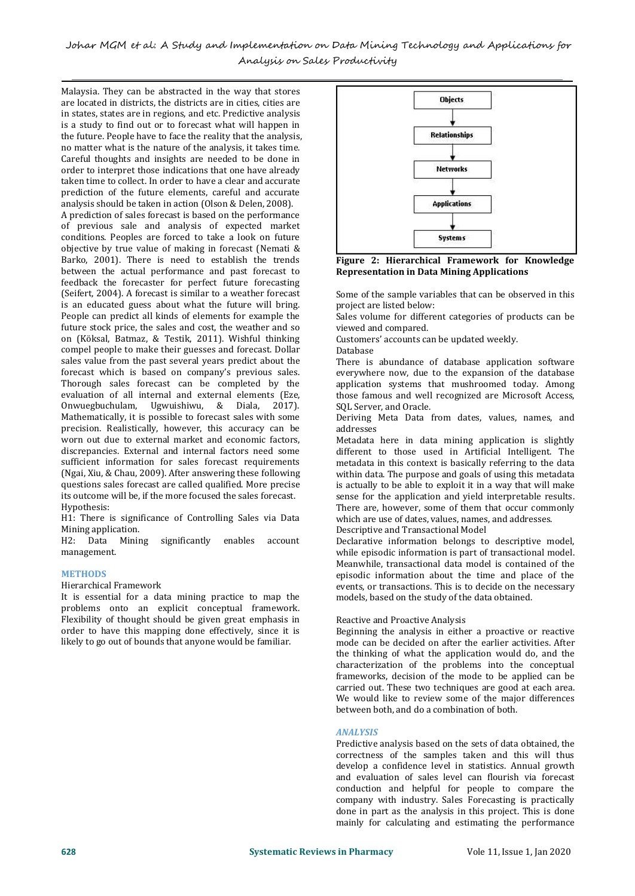Johar MGM et al: A Study and Implementation on Data Mining Technology and Applications for Analysis on Sales Productivity

Malaysia. They can be abstracted in the way that stores are located in districts, the districts are in cities, cities are in states, states are in regions, and etc. Predictive analysis is a study to find out or to forecast what will happen in the future. People have to face the reality that the analysis, no matter what is the nature of the analysis, it takes time. Careful thoughts and insights are needed to be done in order to interpret those indications that one have already taken time to collect. In order to have a clear and accurate prediction of the future elements, careful and accurate analysis should be taken in action (Olson & Delen, 2008).

A prediction of sales forecast is based on the performance of previous sale and analysis of expected market conditions. Peoples are forced to take a look on future objective by true value of making in forecast (Nemati & Barko, 2001). There is need to establish the trends between the actual performance and past forecast to feedback the forecaster for perfect future forecasting (Seifert, 2004). A forecast is similar to a weather forecast is an educated guess about what the future will bring. People can predict all kinds of elements for example the future stock price, the sales and cost, the weather and so on (Köksal, Batmaz, & Testik, 2011). Wishful thinking Customer<br>compel people to make their guesses and forecast. Dollar Database compel people to make their guesses and forecast. Dollar sales value from the past several years predict about the forecast which is based on company's previous sales. Thorough sales forecast can be completed by the evaluation of all internal and external elements (Eze, Onwuegbuchulam, Ugwuishiwu, & Diala, 2017). Mathematically, it is possible to forecast sales with some beriving<br>precision. Realistically. however. this accuracy can be addresses precision. Realistically, however, this accuracy can be worn out due to external market and economic factors, discrepancies. External and internal factors need some sufficient information for sales forecast requirements (Ngai, Xiu, & Chau, 2009). After answering these following questions sales forecast are called qualified. More precise its outcome will be, if the more focused the sales forecast. Hypothesis:

H1: There is significance of Controlling Sales via Data Mining application.

H2: Data Mining significantly enables account management.

#### **METHODS**

Hierarchical Framework

It is essential for a data mining practice to map the problems onto an explicit conceptual framework. Flexibility of thought should be given great emphasis in order to have this mapping done effectively, since it is likely to go out of bounds that anyone would be familiar.



**Figure 2: Hierarchical Framework for Knowledge Representation in Data Mining Applications**

Some of the sample variables that can be observed in this project are listed below:

Sales volume for different categories of products can be viewed and compared.

Customers' accounts can be updated weekly.

Database

There is abundance of database application software everywhere now, due to the expansion of the database application systems that mushroomed today. Among those famous and well recognized are Microsoft Access, SQL Server, and Oracle.

Deriving Meta Data from dates, values, names, and addresses

Metadata here in data mining application is slightly different to those used in Artificial Intelligent. The metadata in this context is basically referring to the data within data. The purpose and goals of using this metadata is actually to be able to exploit it in a way that will make sense for the application and yield interpretable results. There are, however, some of them that occur commonly which are use of dates, values, names, and addresses.

Descriptive and Transactional Model

Declarative information belongs to descriptive model, while episodic information is part of transactional model. Meanwhile, transactional data model is contained of the episodic information about the time and place of the events, or transactions. This is to decide on the necessary models, based on the study of the data obtained.

#### Reactive and Proactive Analysis

Beginning the analysis in either a proactive or reactive mode can be decided on after the earlier activities. After the thinking of what the application would do, and the characterization of the problems into the conceptual frameworks, decision of the mode to be applied can be carried out. These two techniques are good at each area. We would like to review some of the major differences between both, and do a combination of both.

# *ANALYSIS*

Predictive analysis based on the sets of data obtained, the correctness of the samples taken and this will thus develop a confidence level in statistics. Annual growth and evaluation of sales level can flourish via forecast conduction and helpful for people to compare the company with industry. Sales Forecasting is practically done in part as the analysis in this project. This is done mainly for calculating and estimating the performance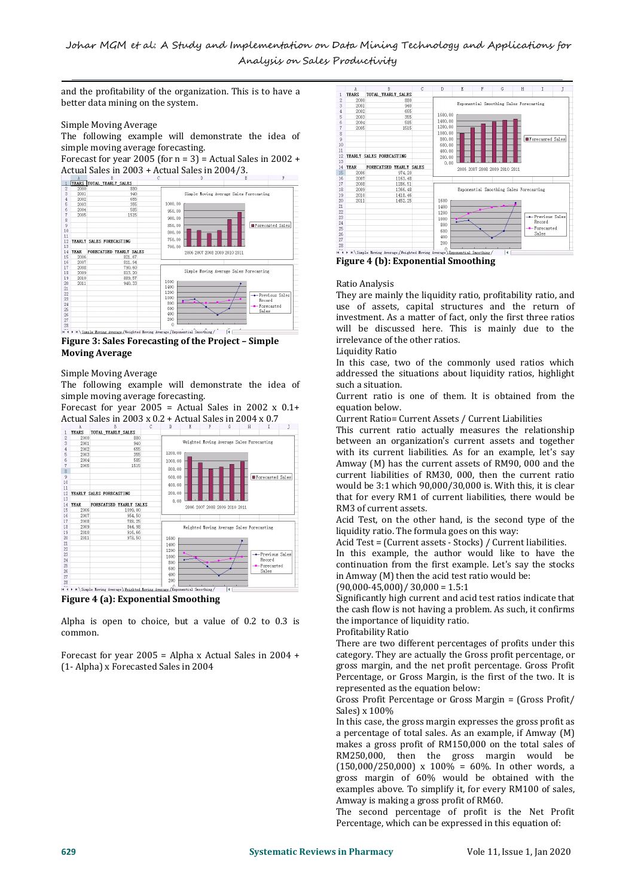and the profitability of the organization. This is to have a  $\frac{A}{1-\frac{1}{2}}$ better data mining on the system.

### Simple Moving Average

The following example will demonstrate the idea of simple moving average forecasting.

Actual Sales in 2003 + Actual Sales in 2004/3.



**Moving Average**

Simple Moving Average

The following example will demonstrate the idea of simple moving average forecasting.

Forecast for year 2005 = Actual Sales in 2002  $x$  0.1+ Actual Sales in 2003 x 0.2 + Actual Sales in 2004 x 0.7



**Figure 4 (a): Exponential Smoothing**

Alpha is open to choice, but a value of 0.2 to 0.3 is common.

Forecast for year 2005 = Alpha x Actual Sales in 2004 + (1- Alpha) x Forecasted Salesin 2004



**Figure 4 (b): Exponential Smoothing**

# Ratio Analysis

They are mainly the liquidity ratio, profitability ratio, and use of assets, capital structures and the return of investment. As a matter of fact, only the first three ratios will be discussed here. This is mainly due to the irrelevance of the other ratios.

Liquidity Ratio

In this case, two of the commonly used ratios which addressed the situations about liquidity ratios, highlight such a situation.

Current ratio is one of them. It is obtained from the equation below.

Current Ratio= Current Assets / Current Liabilities

This current ratio actually measures the relationship between an organization's current assets and together with its current liabilities. As for an example, let's say Amway (M) has the current assets of RM90,000 and the current liabilities of RM30, 000, then the current ratio would be3:1 which 90,000/30,000 is. With this, it is clear that for every RM1 of current liabilities, there would be RM3 of current assets.

Acid Test, on the other hand, is the second type of the liquidity ratio. The formula goes on this way:

Acid Test = (Current assets - Stocks) / Current liabilities.

In this example, the author would like to have the continuation from the first example. Let's say the stocks in Amway (M) then the acid test ratio would be:

 $(90,000-45,000)/30,000 = 1.5:1$ 

Significantly high current and acid test ratios indicate that the cash flow is not having a problem. As such, it confirms the importance of liquidity ratio.

Profitability Ratio

There are two different percentages of profits under this category. They are actually the Gross profit percentage, or gross margin, and the net profit percentage. Gross Profit Percentage, or Gross Margin, is the first of the two. It is represented as the equation below:

Gross Profit Percentage or Gross Margin = (Gross Profit/ Sales) x 100%

In this case, the gross margin expresses the gross profit as a percentage of total sales. As an example, if Amway (M) makes a gross profit of RM150,000 on the total sales of RM250,000, then the gross margin would be  $(150,000/250,000)$  x  $100% = 60%$ . In other words, a gross margin of 60% would be obtained with the examples above. To simplify it, for every RM100 of sales, Amway is making a gross profit of RM60.

The second percentage of profit is the Net Profit Percentage, which can be expressed in this equation of: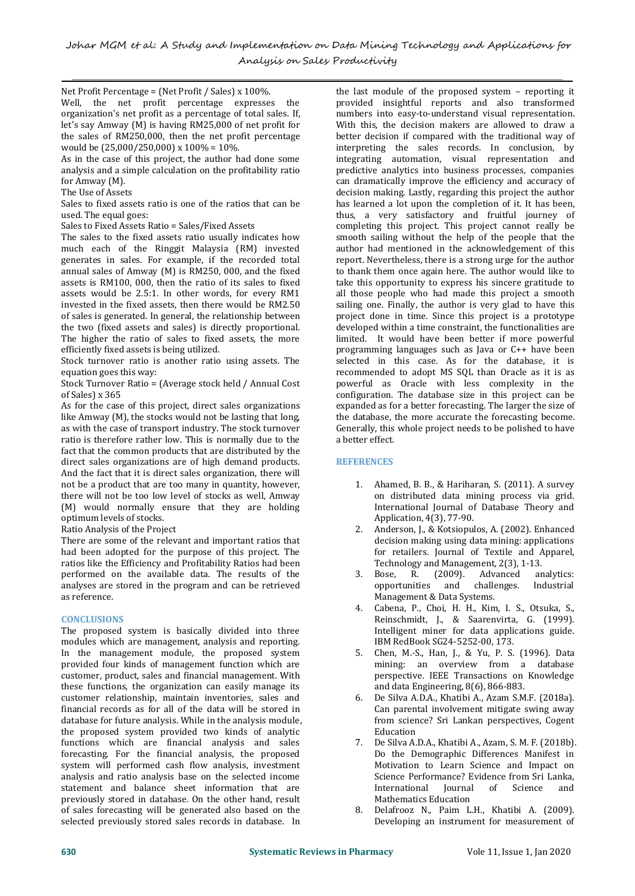Net Profit Percentage = (Net Profit / Sales) x 100%.

Well, the net profit percentage expresses the organization's net profit as a percentage of total sales. If, let's say Amway (M) is having RM25,000 of net profit for the sales of RM250,000, then the net profit percentage would be(25,000/250,000) x 100% = 10%.

As in the case of this project, the author had done some analysis and a simple calculation on the profitability ratio for Amway (M).<br>The Use of Assets

The Use of Assets Sales to fixed assets ratio is one of the ratios that can be used. The equal goes:<br>used. The equal goes: thus, a ve

Sales to Fixed Assets Ratio = Sales/Fixed Assets

The sales to the fixed assets ratio usually indicates how much each of the Ringgit Malaysia (RM) invested generates in sales.For example, if the recorded total annual sales of Amway (M) is RM250, 000, and the fixed assets is RM100, 000, then the ratio of its sales to fixed assets would be  $2.5:1$ . In other words, for every RM1 invested in the fixed assets, then there would be RM2.50 of sales is generated. In general, the relationship between the two (fixed assets and sales) is directly proportional. The higher the ratio of sales to fixed assets, the more efficiently fixed assets is being utilized.

Stock turnover ratio is another ratio using assets. The equation goes this way:

Stock Turnover Ratio = (Average stock held / Annual Cost of Sales) x 365

As for the case of this project, direct sales organizations like Amway (M), the stocks would not be lasting that long, as with the case of transport industry. The stock turnover ratio is therefore rather low. This is normally due to the fact that the common products that are distributed by the direct sales organizations are of high demand products. And the fact that it is direct sales organization, there will not be a product that are too many in quantity, however, there will not be too low level of stocks as well, Amway (M) would normally ensure that they are holding optimum levels of stocks.

Ratio Analysis of the Project

There are some of the relevant and important ratios that had been adopted for the purpose of this project. The ratios like the Efficiency and Profitability Ratios had been Techno<br>performed on the available data. The results of the 3. Bose. performed on the available data. The results of the analyses are stored in the program and can be retrieved as reference.

# **CONCLUSIONS**

The proposed system is basically divided into three modules which are management, analysis and reporting. In the management module, the proposed system provided four kinds of management function which are customer, product, sales and financial management. With these functions, the organization can easily manage its customer relationship, maintain inventories, sales and financial records as for all of the data will be stored in database for future analysis. While in the analysis module, the proposed system provided two kinds of analytic functions which are financial analysis and sales forecasting. For the financial analysis, the proposed system will performed cash flow analysis, investment analysis and ratio analysis base on the selected income statement and balance sheet information that are previously stored in database. On the other hand, result and mean in a mathematics Education<br>
previously stored in database. On the the senerated also based on the the senach a selection of sales forecasting will be genera of sales forecasting will be generated also based on the selected previously stored sales records in database. In

the last module of the proposed system – reporting it provided insightful reports and also transformed numbers into easy-to-understand visual representation. With this, the decision makers are allowed to draw a better decision if compared with the traditional way of interpreting the sales records. In conclusion, by integrating automation, visual representation and predictive analytics into business processes, companies can dramatically improve the efficiency and accuracy of decision making. Lastly, regarding this project the author has learned a lot upon the completion of it. It has been, thus, a very satisfactory and fruitful journey of completing this project. This project cannot really be smooth sailing without the help of the people that the author had mentioned in the acknowledgement of this report. Nevertheless, there is a strong urge for the author to thank them once again here. The author would like to take this opportunity to express his sincere gratitude to all those people who had made this project a smooth sailing one. Finally, the author is very glad to have this project done in time. Since this project is a prototype developed within a time constraint, the functionalities are limited. It would have been better if more powerful programming languages such as Java orC++ have been selected in this case. As for the database, it is recommended to adopt MS SQL than Oracle as it is as powerful as Oracle with less complexity in the configuration. The database size in this project can be expanded as for a better forecasting. The larger the size of the database, the more accurate the forecasting become. Generally, this whole project needs to be polished to have a better effect.

# **REFERENCES**

- 1. Ahamed, B. B., & Hariharan, S. (2011). A survey on distributed data mining process via grid. International Journal of Database Theory and Application, 4(3), 77-90.
- 2. Anderson, J., & Kotsiopulos, A. (2002). Enhanced decision making using data mining: applications for retailers. Journal of Textile and Apparel, Technology and Management, 2(3), 1-13.<br>Bose, R. (2009). Advanced analytics:
- R. (2009). Advanced analytics:<br>unities and challenges. Industrial opportunities Management & Data Systems.
- 4. Cabena, P., Choi, H. H., Kim, I. S., Otsuka, S., Reinschmidt, J., & Saarenvirta, G. (1999). Intelligent miner for data applications guide. IBM RedBook SG24-5252-00, 173.
- 5. Chen, M.-S., Han, J., & Yu, P. S. (1996). Data mining: an overview from a database perspective. IEEE Transactions on Knowledge and data Engineering, 8(6), 866-883.
- 6. De Silva A.D.A., Khatibi A., Azam S.M.F. (2018a). Can parental involvement mitigate swing away from science? Sri Lankan perspectives, Cogent Education
- 7. De Silva A.D.A., Khatibi A., Azam, S. M. F. (2018b). Do the Demographic Differences Manifest in Motivation to Learn Science and Impact on Science Performance? Evidence from Sri Lanka,<br>International Iournal of Science and International Journal Mathematics Education
- Developing an instrument for measurement of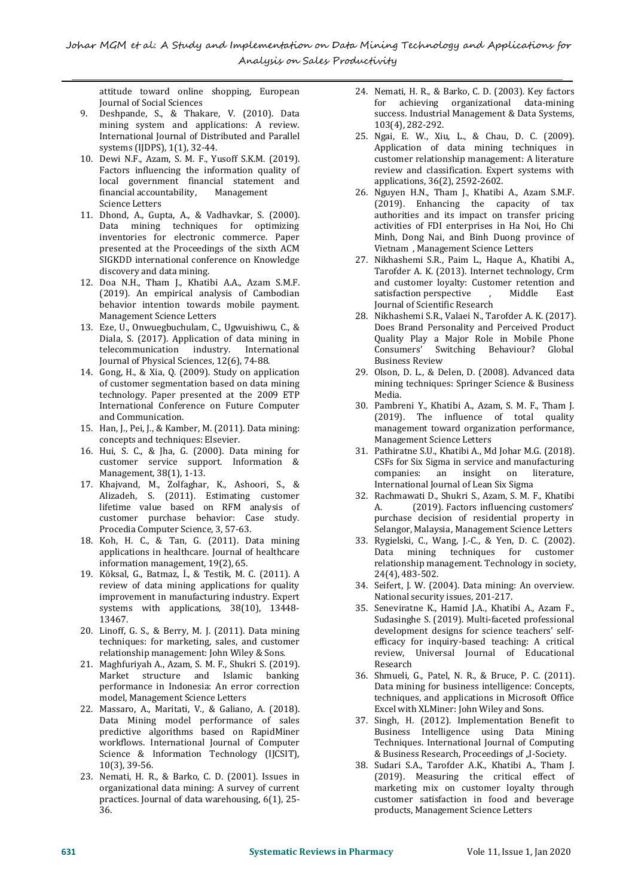attitude toward online shopping, European Journal of Social Sciences

- 9. Deshpande, S., & Thakare, V. (2010). Data mining system and applications: A review. International Journal of Distributed and Parallel systems (IJDPS), 1(1), 32-44.
- 10. Dewi N.F., Azam, S. M. F., Yusoff S.K.M. (2019). Factors influencing the information quality of local government financial statement and<br>financial accountability, Management financial accountability, Science Letters
- 11. Dhond, A., Gupta, A., & Vadhavkar, S. (2000). Data mining techniques for optimizing inventories for electronic commerce. Paper presented at the Proceedings of the sixth ACM SIGKDD international conference on Knowledge discovery and data mining.
- 12. Doa N.H., Tham J., Khatibi A.A., Azam S.M.F. (2019). An empirical analysis of Cambodian behavior intention towards mobile payment. Management Science Letters
- 13. Eze, U., Onwuegbuchulam, C., Ugwuishiwu, C., & Diala, S. (2017). Application of data mining in telecommunication industry. International telecommunication industry. Journal of Physical Sciences, 12(6), 74-88.
- 14. Gong, H., & Xia, Q. (2009). Study on application of customer segmentation based on data mining technology. Paper presented at the 2009 ETP International Conference on Future Computer and Communication.
- 15. Han, J., Pei, J., & Kamber, M. (2011). Data mining: concepts and techniques: Elsevier.
- 16. Hui, S. C., & Jha, G. (2000). Data mining for customer service support. Information & CSFs for Six<br>Management, 38(1), 1-13. companies: Management, 38(1), 1-13.
- 17. Khajvand, M., Zolfaghar, K., Ashoori, S., & Alizadeh, S. (2011). Estimating customer 32. Ra<br>lifetime value based on RFM analysis of A. lifetime value based on RFM analysis of customer purchase behavior: Case study. Procedia Computer Science, 3, 57-63.
- 18. Koh, H. C., & Tan, G. (2011). Data mining applications in healthcare. Journal of healthcare information management, 19(2), 65.
- 19. Köksal, G., Batmaz, İ., & Testik, M. C. (2011). A review of data mining applications for quality improvement in manufacturing industry. Expert systems with applications, 38(10), 13448- 13467.
- 20. Linoff, G. S., & Berry, M. J. (2011). Data mining techniques: for marketing, sales, and customer relationship management: John Wiley & Sons.
- 21. Maghfuriyah A., Azam, S. M.F., Shukri S. (2019). Market structure and Islamic banking performance in Indonesia: An error correction model, Management Science Letters
- 22. Massaro, A., Maritati, V., & Galiano, A. (2018). Data Mining model performance of sales predictive algorithms based on RapidMiner workflows. International Journal of Computer Science & Information Technology (IJCSIT), 10(3), 39-56.
- 23. Nemati, H. R., & Barko, C. D. (2001). Issues in organizational data mining: A survey of current practices. Journal of data warehousing, 6(1), 25- 36.
- 24. Nemati, H. R., & Barko, C. D. (2003). Key factors for achieving organizational data-mining success. Industrial Management & Data Systems, 103(4), 282-292.
- 25. Ngai, E. W., Xiu, L., & Chau, D. C. (2009). Application of data mining techniques in customer relationship management: A literature review and classification. Expert systems with applications, 36(2), 2592-2602.
- 26. Nguyen H.N., Tham J., Khatibi A., Azam S.M.F. (2019). Enhancing the capacity of tax authorities and its impact on transfer pricing activities of FDI enterprises in Ha Noi, Ho Chi Minh, Dong Nai, and Binh Duong province of Vietnam , Management Science Letters
- 27. Nikhashemi S.R., Paim L., Haque A., Khatibi A., Tarofder A. K. (2013). Internet technology, Crm and customer loyalty: Customer retention and<br>satisfaction perspective Middle East satisfaction perspective Journal of Scientific Research
- 28. Nikhashemi S.R., Valaei N.,Tarofder A. K. (2017). Does Brand Personality and Perceived Product Quality Play a Major Role in Mobile Phone Consumers' Switching Behaviour? Global Business Review
- 29. Olson, D. L., & Delen, D. (2008). Advanced data mining techniques: Springer Science & Business Media.
- 30. Pambreni Y., Khatibi A., Azam, S. M. F., Tham J. (2019). The influence of total quality management toward organization performance, Management Science Letters
- 31. Pathiratne S.U., Khatibi A., Md Johar M.G. (2018). CSFs for Six Sigma in service and manufacturing<br>companies: an insight on literature, on literature, International Journal of Lean Six Sigma
- 32. Rachmawati D., Shukri S., Azam, S. M. F., Khatibi (2019). Factors influencing customers' purchase decision of residential property in Selangor, Malaysia, Management Science Letters
- 33. Rygielski, C., Wang, J.-C., & Yen, D. C. (2002). Data mining techniques for customer relationship management. Technology in society, 24(4), 483-502.
- 34. Seifert, J. W. (2004). Data mining: An overview. National security issues, 201-217.
- 35. Seneviratne K., Hamid J.A., Khatibi A., Azam F., Sudasinghe S. (2019). Multi-faceted professional development designs for science teachers' self efficacy for inquiry-based teaching: A critical review, Universal Journal of Educational Research
- 36. Shmueli, G., Patel, N. R., & Bruce, P. C. (2011). Data mining for business intelligence: Concepts, techniques, and applications in Microsoft Office Excel with XLMiner: John Wiley and Sons.
- 37. Singh, H. (2012). Implementation Benefit to Business Intelligence using Data Mining Techniques. International Journal of Computing & Business Research, Proceedings of "I-Society.
- 38. Sudari S.A., Tarofder A.K., Khatibi A., Tham J. (2019). Measuring the critical effect of marketing mix on customer loyalty through customer satisfaction in food and beverage products, Management Science Letters